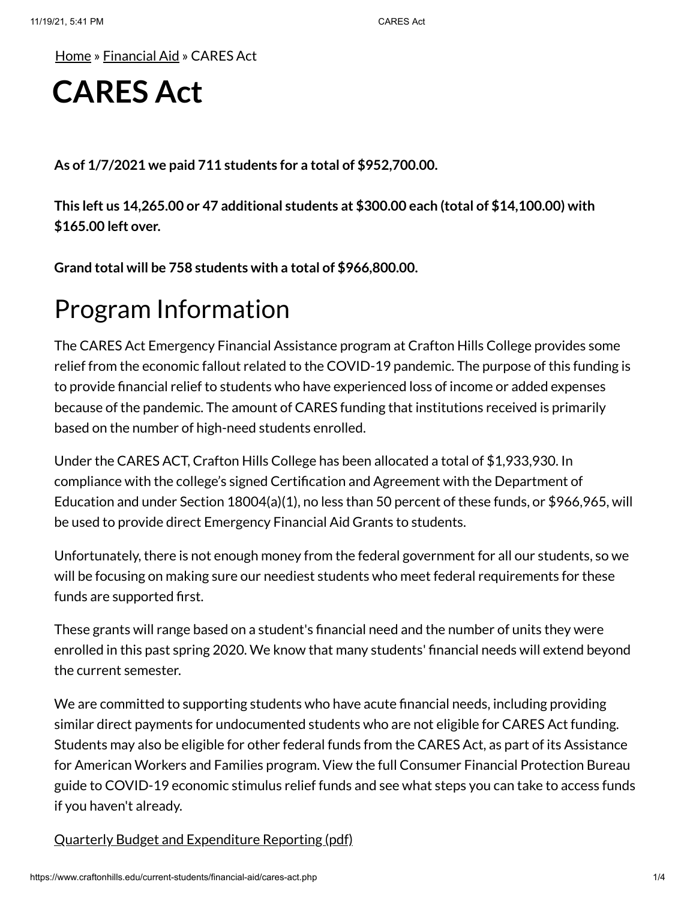[Home](https://www.craftonhills.edu/index.php) » [Financial](https://www.craftonhills.edu/current-students/financial-aid/index.php) Aid » CARES Act

# **CARES Act**

**As of 1/7/2021 we paid 711 students for a total of \$952,700.00.**

**This left us 14,265.00 or 47 additional students at \$300.00 each (total of \$14,100.00) with \$165.00 left over.**

**Grand total will be 758 students with a total of \$966,800.00.**

### Program Information

The CARES Act Emergency Financial Assistance program at Crafton Hills College provides some relief from the economic fallout related to the COVID-19 pandemic. The purpose of this funding is to provide financial relief to students who have experienced loss of income or added expenses because of the pandemic. The amount of CARES funding that institutions received is primarily based on the number of high-need students enrolled.

Under the CARES ACT, Crafton Hills College has been allocated a total of \$1,933,930. In compliance with the college's signed Certification and Agreement with the Department of Education and under Section 18004(a)(1), no less than 50 percent of these funds, or \$966,965, will be used to provide direct Emergency Financial Aid Grants to students.

Unfortunately, there is not enough money from the federal government for all our students, so we will be focusing on making sure our neediest students who meet federal requirements for these funds are supported first.

These grants will range based on a student's financial need and the number of units they were enrolled in this past spring 2020. We know that many students' financial needs will extend beyond the current semester.

We are committed to supporting students who have acute financial needs, including providing similar direct payments for undocumented students who are not eligible for CARES Act funding. Students may also be eligible for other federal funds from the CARES Act, as part of its Assistance for American Workers and Families program. View the full Consumer Financial Protection Bureau guide to COVID-19 economic stimulus relief funds and see what steps you can take to access funds if you haven't already.

Quarterly Budget [and Expenditure](https://www.craftonhills.edu/current-students/financial-aid/documents/chc-heerf-quarterly-reporting-v131.pdf) Reporting (pdf)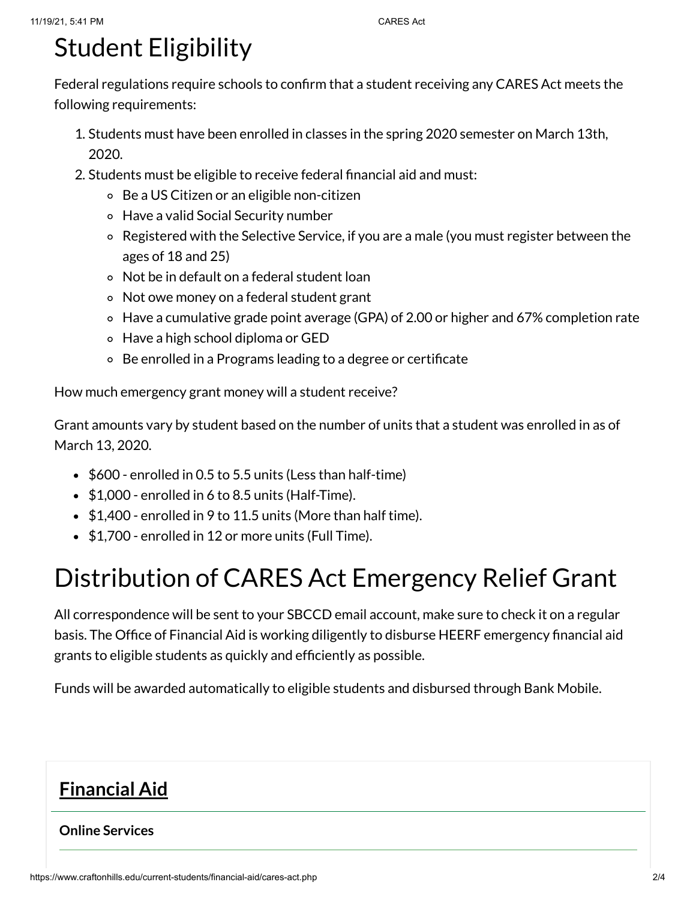## Student Eligibility

Federal regulations require schools to confirm that a student receiving any CARES Act meets the following requirements:

- 1. Students must have been enrolled in classes in the spring 2020 semester on March 13th, 2020.
- 2. Students must be eligible to receive federal financial aid and must:
	- Be a US Citizen or an eligible non-citizen
	- Have a valid Social Security number
	- Registered with the Selective Service, if you are a male (you must register between the ages of 18 and 25)
	- Not be in default on a federal student loan
	- Not owe money on a federal student grant
	- Have a cumulative grade point average (GPA) of 2.00 or higher and 67% completion rate
	- Have a high school diploma or GED
	- Be enrolled in a Programs leading to a degree or certificate

How much emergency grant money will a student receive?

Grant amounts vary by student based on the number of units that a student was enrolled in as of March 13, 2020.

- $\bullet$  \$600 enrolled in 0.5 to 5.5 units (Less than half-time)
- $\bullet$  \$1,000 enrolled in 6 to 8.5 units (Half-Time).
- $\bullet$  \$1,400 enrolled in 9 to 11.5 units (More than half time).
- \$1,700 enrolled in 12 or more units (Full Time).

## Distribution of CARES Act Emergency Relief Grant

All correspondence will be sent to your SBCCD email account, make sure to check it on a regular basis. The Office of Financial Aid is working diligently to disburse HEERF emergency financial aid grants to eligible students as quickly and efficiently as possible.

Funds will be awarded automatically to eligible students and disbursed through Bank Mobile.

#### **[Financial](https://www.craftonhills.edu/current-students/financial-aid/index.php) Aid**

#### **Online [Services](https://www.craftonhills.edu/current-students/financial-aid/online-services.php)**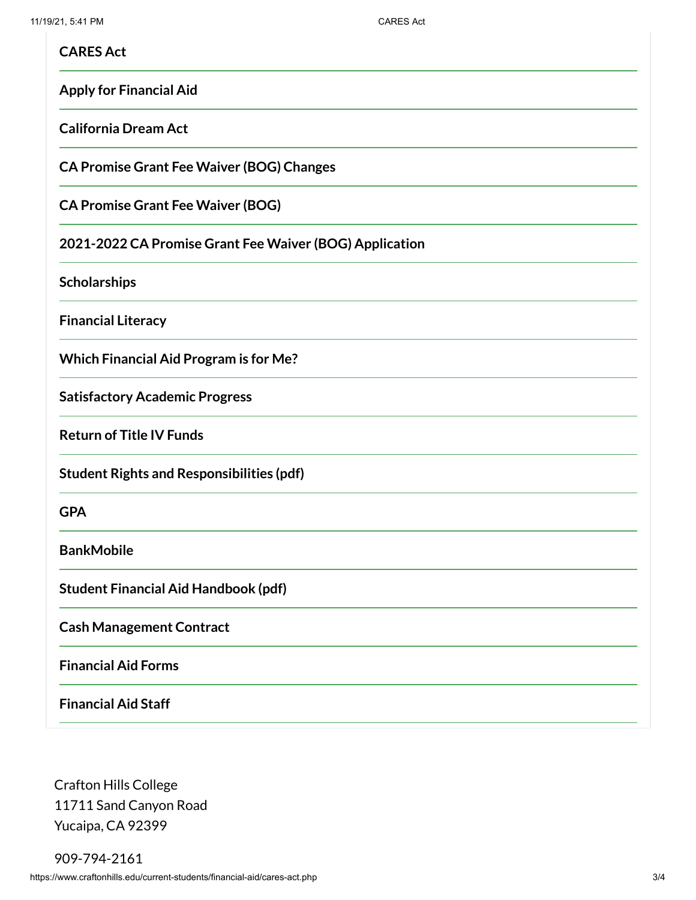| <b>CARES Act</b>                                        |
|---------------------------------------------------------|
| <b>Apply for Financial Aid</b>                          |
| <b>California Dream Act</b>                             |
| <b>CA Promise Grant Fee Waiver (BOG) Changes</b>        |
| <b>CA Promise Grant Fee Waiver (BOG)</b>                |
| 2021-2022 CA Promise Grant Fee Waiver (BOG) Application |
| <b>Scholarships</b>                                     |
| <b>Financial Literacy</b>                               |
| <b>Which Financial Aid Program is for Me?</b>           |
| <b>Satisfactory Academic Progress</b>                   |
| <b>Return of Title IV Funds</b>                         |
| <b>Student Rights and Responsibilities (pdf)</b>        |
| <b>GPA</b>                                              |
| <b>BankMobile</b>                                       |
| <b>Student Financial Aid Handbook (pdf)</b>             |
| <b>Cash Management Contract</b>                         |
| <b>Financial Aid Forms</b>                              |
| <b>Financial Aid Staff</b>                              |

Crafton Hills College 11711 Sand Canyon Road Yucaipa, CA 92399